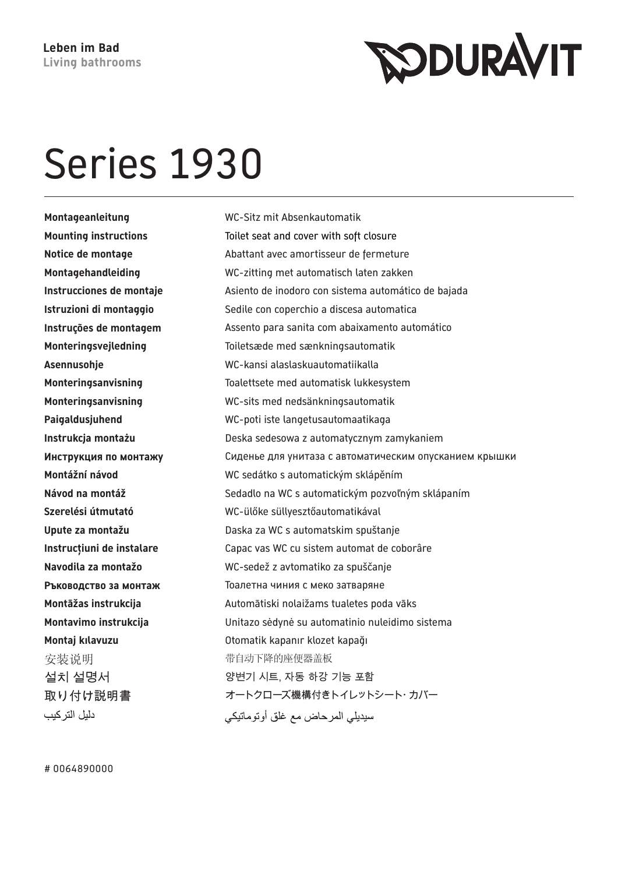**SODURAVIT** 

## Series 1930

**Montageanleitung** WC-Sitz mit Absenkautomatik 安装说明 的第三人称单数 医中心下降的座便器盖板 دليل التر كيب

**Mounting instructions** Toilet seat and cover with soft closure **Notice de montage** Abattant avec amortisseur de fermeture **Montagehandleiding** WC-zitting met automatisch laten zakken **Instrucciones de montaje Asiento de inodoro con sistema automático de bajada Istruzioni di montaggio** Sedile con coperchio a discesa automatica **Instruções de montagem** Assento para sanita com abaixamento automático **Monteringsvejledning** Toiletsæde med sænkningsautomatik **Asennusohje** WC-kansi alaslaskuautomatiikalla **Monteringsanvisning** Toalettsete med automatisk lukkesystem **Monteringsanvisning** WC-sits med nedsänkningsautomatik **Paigaldusjuhend** WC-poti iste langetusautomaatikaga **Instrukcja montażu** Deska sedesowa z automatycznym zamykaniem **Инструкция по монтажу** Сиденье для унитаза с автоматическим опусканием крышки **Montážní návod** WC sedátko s automatickým sklápěním Návod na montáž **Sedadlo na WC s automatickým pozvoľným sklápaním Szerelési útmutató** WC-ülőke süllyesztőautomatikával **Upute za montažu** Daska za WC s automatskim spuštanje **Instrucțiuni de instalare** Capac vas WC cu sistem automat de coborâre **Navodila za montažo** WC-sedež z avtomatiko za spuščanje **Ръководство за монтаж** Тоалетна чиния с меко затваряне **Montāžas instrukcija** Automātiski nolaižams tualetes poda vāks **Montavimo instrukcija** Unitazo sėdynė su automatinio nuleidimo sistema **Montaj kılavuzu** Otomatik kapanır klozet kapağı 렍 ꐺ 꽆ꙵ韥 겑뱭, 녅鶎 뼍闊 韥鱚 붡뼝 取り付け説明書 オートクローズ機構付きトイレットシート・カバー سيديلي المر حاض مع غلق أو تو ماتيكي

# 0064890000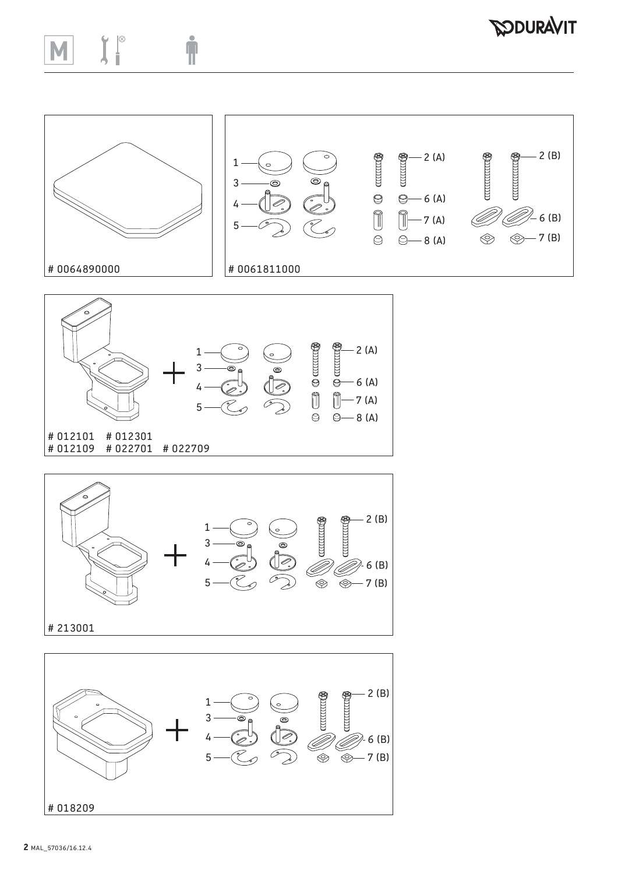## $\int_{a}^{\infty}$ Ť  $\blacksquare$

## *SODURAVIT*









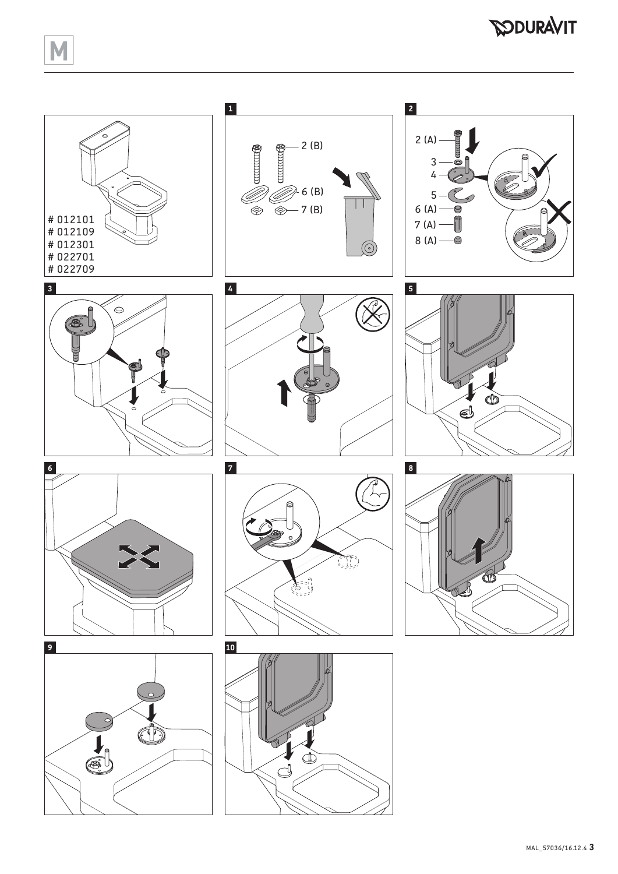